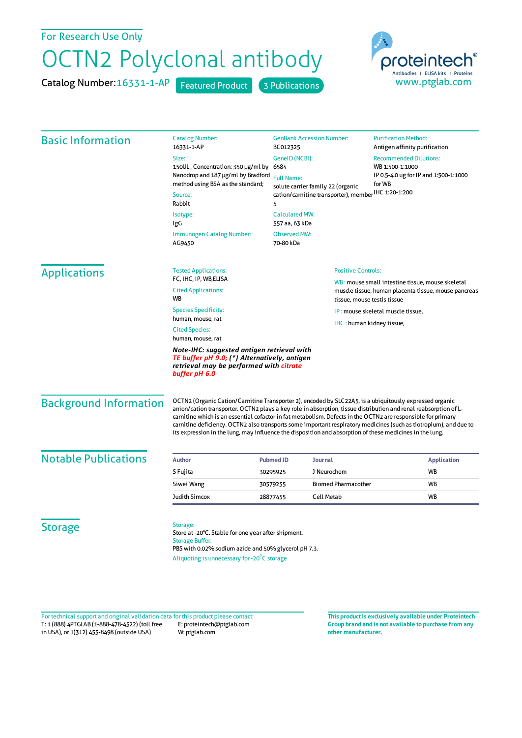## For Research Use Only

## OCTN2 Polyclonal antibody

Catalog Number: 16331-1-AP Featured Product 3 Publications



| <b>Basic Information</b>      | <b>Catalog Number:</b><br>16331-1-AP                                                                                                                                                                                                                                                                                                                                                                                                                                                                                                                                         | <b>GenBank Accession Number:</b><br>BC012325<br>GenelD (NCBI):<br>6584<br><b>Full Name:</b><br>solute carrier family 22 (organic<br>cation/carnitine transporter), member HC 1:20-1:200 |                            | <b>Purification Method:</b><br>Antigen affinity purification<br><b>Recommended Dilutions:</b><br>WB 1:500-1:1000<br>IP 0.5-4.0 ug for IP and 1:500-1:1000<br>for WB |                    |
|-------------------------------|------------------------------------------------------------------------------------------------------------------------------------------------------------------------------------------------------------------------------------------------------------------------------------------------------------------------------------------------------------------------------------------------------------------------------------------------------------------------------------------------------------------------------------------------------------------------------|-----------------------------------------------------------------------------------------------------------------------------------------------------------------------------------------|----------------------------|---------------------------------------------------------------------------------------------------------------------------------------------------------------------|--------------------|
|                               | Size:                                                                                                                                                                                                                                                                                                                                                                                                                                                                                                                                                                        |                                                                                                                                                                                         |                            |                                                                                                                                                                     |                    |
|                               | 150UL, Concentration: 350 µg/ml by<br>Nanodrop and 187 µg/ml by Bradford                                                                                                                                                                                                                                                                                                                                                                                                                                                                                                     |                                                                                                                                                                                         |                            |                                                                                                                                                                     |                    |
|                               | method using BSA as the standard;                                                                                                                                                                                                                                                                                                                                                                                                                                                                                                                                            |                                                                                                                                                                                         |                            |                                                                                                                                                                     |                    |
|                               | Source:                                                                                                                                                                                                                                                                                                                                                                                                                                                                                                                                                                      |                                                                                                                                                                                         |                            |                                                                                                                                                                     |                    |
|                               | Rabbit                                                                                                                                                                                                                                                                                                                                                                                                                                                                                                                                                                       | 5                                                                                                                                                                                       |                            |                                                                                                                                                                     |                    |
|                               | Isotype:<br>IgG                                                                                                                                                                                                                                                                                                                                                                                                                                                                                                                                                              | <b>Calculated MW:</b><br>557 aa, 63 kDa                                                                                                                                                 |                            |                                                                                                                                                                     |                    |
|                               | Immunogen Catalog Number:<br>AG9450                                                                                                                                                                                                                                                                                                                                                                                                                                                                                                                                          | <b>Observed MW:</b><br>70-80 kDa                                                                                                                                                        |                            |                                                                                                                                                                     |                    |
| <b>Applications</b>           | <b>Tested Applications:</b>                                                                                                                                                                                                                                                                                                                                                                                                                                                                                                                                                  |                                                                                                                                                                                         | <b>Positive Controls:</b>  |                                                                                                                                                                     |                    |
|                               | FC, IHC, IP, WB, ELISA<br><b>Cited Applications:</b><br>WB                                                                                                                                                                                                                                                                                                                                                                                                                                                                                                                   | WB: mouse small intestine tissue, mouse skeletal<br>muscle tissue, human placenta tissue, mouse pancreas<br>tissue, mouse testis tissue                                                 |                            |                                                                                                                                                                     |                    |
|                               | <b>Species Specificity:</b><br>human, mouse, rat                                                                                                                                                                                                                                                                                                                                                                                                                                                                                                                             |                                                                                                                                                                                         |                            | IP: mouse skeletal muscle tissue,                                                                                                                                   |                    |
|                               |                                                                                                                                                                                                                                                                                                                                                                                                                                                                                                                                                                              |                                                                                                                                                                                         |                            | IHC: human kidney tissue,                                                                                                                                           |                    |
|                               | <b>Cited Species:</b><br>human, mouse, rat                                                                                                                                                                                                                                                                                                                                                                                                                                                                                                                                   |                                                                                                                                                                                         |                            |                                                                                                                                                                     |                    |
|                               | Note-IHC: suggested antigen retrieval with<br>TE buffer pH 9.0; (*) Alternatively, antigen<br>retrieval may be performed with citrate<br>buffer pH 6.0                                                                                                                                                                                                                                                                                                                                                                                                                       |                                                                                                                                                                                         |                            |                                                                                                                                                                     |                    |
| <b>Background Information</b> | OCTN2 (Organic Cation/Carnitine Transporter 2), encoded by SLC22A5, is a ubiquitously expressed organic<br>anion/cation transporter. OCTN2 plays a key role in absorption, tissue distribution and renal reabsorption of L-<br>carnitine which is an essential cofactor in fat metabolism. Defects in the OCTN2 are responsible for primary<br>carnitine deficiency. OCTN2 also transports some important respiratory medicines (such as tiotropium), and due to<br>its expression in the lung, may influence the disposition and absorption of these medicines in the lung. |                                                                                                                                                                                         |                            |                                                                                                                                                                     |                    |
| <b>Notable Publications</b>   | <b>Author</b>                                                                                                                                                                                                                                                                                                                                                                                                                                                                                                                                                                | <b>Pubmed ID</b><br><b>Journal</b>                                                                                                                                                      |                            |                                                                                                                                                                     | <b>Application</b> |
|                               | S Fujita                                                                                                                                                                                                                                                                                                                                                                                                                                                                                                                                                                     | J Neurochem<br>30295925                                                                                                                                                                 |                            |                                                                                                                                                                     | <b>WB</b>          |
|                               | Siwei Wang                                                                                                                                                                                                                                                                                                                                                                                                                                                                                                                                                                   | 30579255                                                                                                                                                                                | <b>Biomed Pharmacother</b> |                                                                                                                                                                     | WB                 |
|                               | Judith Simcox                                                                                                                                                                                                                                                                                                                                                                                                                                                                                                                                                                | <b>Cell Metab</b><br>28877455                                                                                                                                                           |                            |                                                                                                                                                                     | <b>WB</b>          |
| <b>Storage</b>                | Storage:<br>Store at -20°C. Stable for one year after shipment.<br><b>Storage Buffer:</b><br>PBS with 0.02% sodium azide and 50% glycerol pH 7.3.<br>Aliquoting is unnecessary for -20°C storage                                                                                                                                                                                                                                                                                                                                                                             |                                                                                                                                                                                         |                            |                                                                                                                                                                     |                    |

T: 1 (888) 4PTGLAB (1-888-478-4522) (toll free in USA), or 1(312) 455-8498 (outside USA) E: proteintech@ptglab.com W: ptglab.com Fortechnical support and original validation data forthis product please contact: **This productis exclusively available under Proteintech**

**Group brand and is not available to purchase from any other manufacturer.**